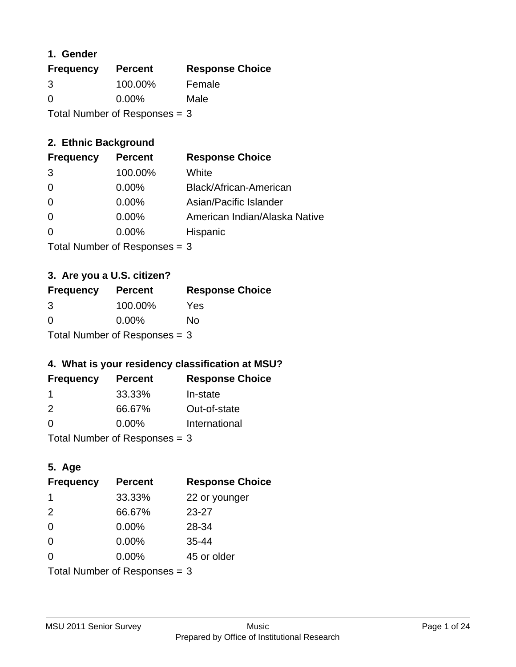### **1. Gender**

| <b>Frequency</b>                | <b>Percent</b> | <b>Response Choice</b> |
|---------------------------------|----------------|------------------------|
| 3                               | 100.00%        | Female                 |
| $\Omega$                        | $0.00\%$       | Male                   |
| Total Number of Responses = $3$ |                |                        |

## **2. Ethnic Background**

| <b>Frequency</b> | <b>Percent</b> | <b>Response Choice</b>        |
|------------------|----------------|-------------------------------|
| -3               | 100.00%        | White                         |
| $\Omega$         | $0.00\%$       | Black/African-American        |
| $\Omega$         | $0.00\%$       | Asian/Pacific Islander        |
| $\Omega$         | 0.00%          | American Indian/Alaska Native |
|                  | $0.00\%$       | Hispanic                      |
|                  |                |                               |

Total Number of Responses = 3

## **3. Are you a U.S. citizen?**

| <b>Frequency</b> | <b>Percent</b>                  | <b>Response Choice</b> |
|------------------|---------------------------------|------------------------|
| 3                | 100.00%                         | Yes                    |
| $\Omega$         | $0.00\%$                        | No                     |
|                  | Total Number of Responses = $3$ |                        |

## **4. What is your residency classification at MSU?**

| <b>Frequency</b> | <b>Percent</b> | <b>Response Choice</b> |
|------------------|----------------|------------------------|
|                  | 33.33%         | In-state               |
| $\mathcal{P}$    | 66.67%         | Out-of-state           |
| $\Omega$         | $0.00\%$       | International          |
|                  |                |                        |

Total Number of Responses = 3

## **5. Age**

| <b>Frequency</b>                | <b>Percent</b> | <b>Response Choice</b> |
|---------------------------------|----------------|------------------------|
| 1                               | 33.33%         | 22 or younger          |
| 2                               | 66.67%         | 23-27                  |
| $\Omega$                        | 0.00%          | 28-34                  |
| $\Omega$                        | 0.00%          | $35 - 44$              |
| 0                               | 0.00%          | 45 or older            |
| Total Number of Responses $=$ 3 |                |                        |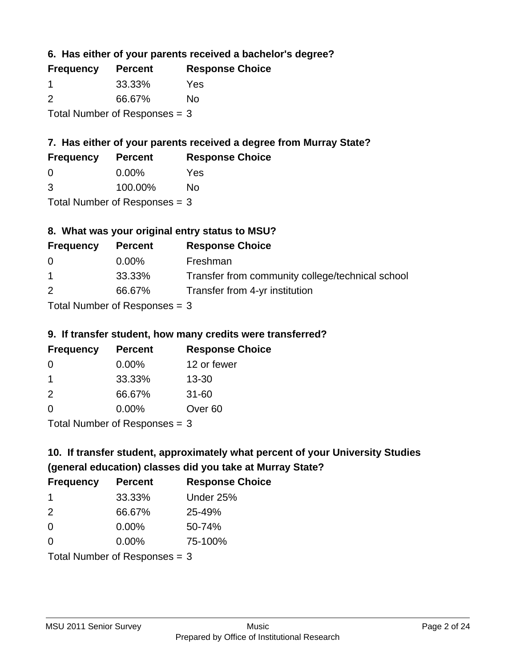**6. Has either of your parents received a bachelor's degree?**

| <b>Frequency</b>                | <b>Percent</b> | <b>Response Choice</b> |
|---------------------------------|----------------|------------------------|
| -1                              | 33.33%         | Yes                    |
| $\mathcal{P}$                   | 66.67%         | No                     |
| Total Number of Responses $=$ 3 |                |                        |

## **7. Has either of your parents received a degree from Murray State?**

| <b>Frequency</b> | <b>Percent</b> | <b>Response Choice</b> |
|------------------|----------------|------------------------|
| - 0              | $0.00\%$       | Yes                    |

| 3 | 100.00% | <b>No</b> |
|---|---------|-----------|

Total Number of Responses = 3

## **8. What was your original entry status to MSU?**

| <b>Frequency</b> | <b>Percent</b>            | <b>Response Choice</b>                           |
|------------------|---------------------------|--------------------------------------------------|
| 0                | $0.00\%$                  | Freshman                                         |
| $\overline{1}$   | 33.33%                    | Transfer from community college/technical school |
| 2                | 66.67%                    | Transfer from 4-yr institution                   |
|                  | Total Number of Despenses |                                                  |

Total Number of Responses = 3

### **9. If transfer student, how many credits were transferred?**

| <b>Frequency</b>            | <b>Percent</b> | <b>Response Choice</b> |
|-----------------------------|----------------|------------------------|
| -0                          | $0.00\%$       | 12 or fewer            |
| 1                           | 33.33%         | $13 - 30$              |
| $\mathcal{P}$               | 66.67%         | $31 - 60$              |
| $\Omega$                    | $0.00\%$       | Over <sub>60</sub>     |
| $Total Number of Denonce 2$ |                |                        |

I otal Number of Responses  $=$  3

# **10. If transfer student, approximately what percent of your University Studies (general education) classes did you take at Murray State?**

| <b>Frequency</b>                | <b>Percent</b> | <b>Response Choice</b> |
|---------------------------------|----------------|------------------------|
| -1                              | 33.33%         | Under 25%              |
| $\mathcal{P}$                   | 66.67%         | 25-49%                 |
| $\Omega$                        | $0.00\%$       | 50-74%                 |
| $\Omega$                        | 0.00%          | 75-100%                |
| Total Number of Responses $=$ 3 |                |                        |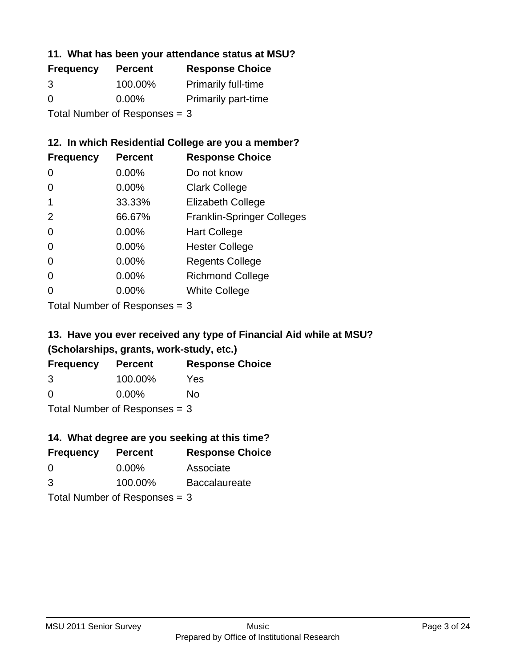### **11. What has been your attendance status at MSU?**

| <b>Frequency</b> | <b>Percent</b>                | <b>Response Choice</b>     |
|------------------|-------------------------------|----------------------------|
| 3                | 100.00%                       | <b>Primarily full-time</b> |
| $\Omega$         | $0.00\%$                      | <b>Primarily part-time</b> |
|                  | Total Number of Responses = 3 |                            |

### **12. In which Residential College are you a member?**

| <b>Frequency</b> | <b>Percent</b> | <b>Response Choice</b>            |
|------------------|----------------|-----------------------------------|
| 0                | $0.00\%$       | Do not know                       |
| 0                | 0.00%          | <b>Clark College</b>              |
| 1                | 33.33%         | <b>Elizabeth College</b>          |
| 2                | 66.67%         | <b>Franklin-Springer Colleges</b> |
| 0                | 0.00%          | <b>Hart College</b>               |
| 0                | 0.00%          | <b>Hester College</b>             |
| 0                | 0.00%          | <b>Regents College</b>            |
| $\Omega$         | 0.00%          | <b>Richmond College</b>           |
| 0                | 0.00%          | <b>White College</b>              |
|                  |                |                                   |

Total Number of Responses = 3

## **13. Have you ever received any type of Financial Aid while at MSU? (Scholarships, grants, work-study, etc.)**

| <b>Frequency</b> | <b>Percent</b>                  | <b>Response Choice</b> |
|------------------|---------------------------------|------------------------|
| 3                | 100.00%                         | Yes                    |
| $\Omega$         | $0.00\%$                        | No                     |
|                  | Total Number of Responses $=$ 3 |                        |

**14. What degree are you seeking at this time?**

| <b>Frequency</b> | <b>Percent</b>                  | <b>Response Choice</b> |
|------------------|---------------------------------|------------------------|
| $\Omega$         | $0.00\%$                        | Associate              |
| 3                | 100.00%                         | <b>Baccalaureate</b>   |
|                  | Total Number of Responses $=$ 3 |                        |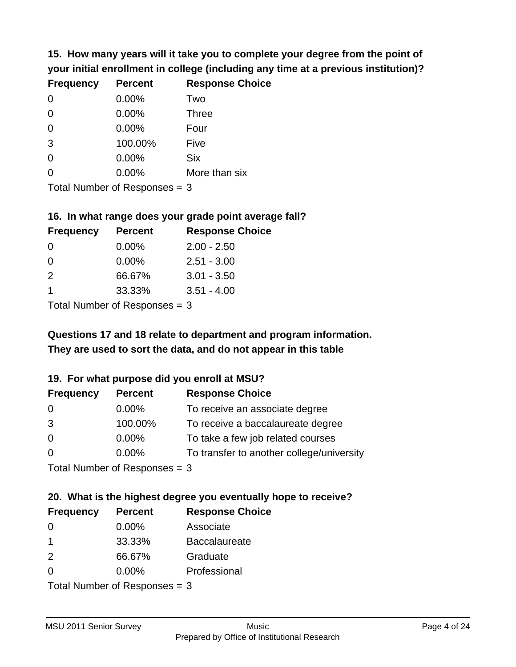**15. How many years will it take you to complete your degree from the point of your initial enrollment in college (including any time at a previous institution)?**

| <b>Frequency</b> | <b>Percent</b> | <b>Response Choice</b> |
|------------------|----------------|------------------------|
| 0                | 0.00%          | Two                    |
| 0                | 0.00%          | <b>Three</b>           |
| $\overline{0}$   | 0.00%          | Four                   |
| 3                | 100.00%        | Five                   |
| 0                | 0.00%          | <b>Six</b>             |
| $\overline{0}$   | 0.00%          | More than six          |
|                  |                |                        |

Total Number of Responses = 3

### **16. In what range does your grade point average fall?**

| <b>Frequency</b> | <b>Percent</b> | <b>Response Choice</b> |
|------------------|----------------|------------------------|
| 0                | $0.00\%$       | $2.00 - 2.50$          |
| $\Omega$         | 0.00%          | $2.51 - 3.00$          |
| $\mathcal{P}$    | 66.67%         | $3.01 - 3.50$          |
|                  | 33.33%         | $3.51 - 4.00$          |
| — <u>.</u>       |                |                        |

Total Number of Responses = 3

## **They are used to sort the data, and do not appear in this table Questions 17 and 18 relate to department and program information.**

## **19. For what purpose did you enroll at MSU?**

| <b>Frequency</b>            | <b>Percent</b> | <b>Response Choice</b>                    |
|-----------------------------|----------------|-------------------------------------------|
| 0                           | 0.00%          | To receive an associate degree            |
| 3                           | 100.00%        | To receive a baccalaureate degree         |
| $\overline{0}$              | $0.00\%$       | To take a few job related courses         |
| $\Omega$                    | $0.00\%$       | To transfer to another college/university |
| Total Number of Despasses 2 |                |                                           |

Total Number of Responses = 3

# **20. What is the highest degree you eventually hope to receive?**

| <b>Frequency</b> | <b>Percent</b>                | <b>Response Choice</b> |
|------------------|-------------------------------|------------------------|
| 0                | $0.00\%$                      | Associate              |
| 1                | 33.33%                        | <b>Baccalaureate</b>   |
| 2                | 66.67%                        | Graduate               |
| 0                | $0.00\%$                      | Professional           |
|                  | $Total Number of Denonce = 2$ |                        |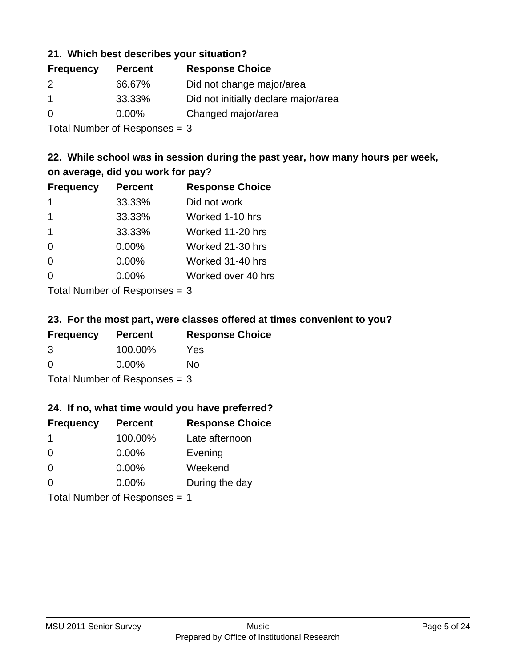### **21. Which best describes your situation?**

| <b>Frequency</b> | <b>Percent</b> | <b>Response Choice</b>               |
|------------------|----------------|--------------------------------------|
| 2                | 66.67%         | Did not change major/area            |
| -1               | 33.33%         | Did not initially declare major/area |
| $\Omega$         | $0.00\%$       | Changed major/area                   |

Total Number of Responses = 3

## **22. While school was in session during the past year, how many hours per week, on average, did you work for pay?**

| <b>Frequency</b> | <b>Percent</b> | <b>Response Choice</b> |
|------------------|----------------|------------------------|
| 1                | 33.33%         | Did not work           |
| $\mathbf 1$      | 33.33%         | Worked 1-10 hrs        |
| $\mathbf 1$      | 33.33%         | Worked 11-20 hrs       |
| $\Omega$         | 0.00%          | Worked 21-30 hrs       |
| $\Omega$         | 0.00%          | Worked 31-40 hrs       |
| $\Omega$         | 0.00%          | Worked over 40 hrs     |
|                  |                |                        |

Total Number of Responses = 3

### **23. For the most part, were classes offered at times convenient to you?**

| <b>Frequency</b>                | <b>Percent</b> | <b>Response Choice</b> |
|---------------------------------|----------------|------------------------|
| 3                               | 100.00%        | Yes                    |
| $\Omega$                        | $0.00\%$       | Nο                     |
| Total Number of Responses $=$ 3 |                |                        |

### **24. If no, what time would you have preferred?**

| <b>Frequency</b> | <b>Percent</b>                | <b>Response Choice</b> |
|------------------|-------------------------------|------------------------|
| -1               | 100.00%                       | Late afternoon         |
| $\Omega$         | 0.00%                         | Evening                |
| $\Omega$         | $0.00\%$                      | Weekend                |
| $\Omega$         | $0.00\%$                      | During the day         |
|                  | Total Number of Responses = 1 |                        |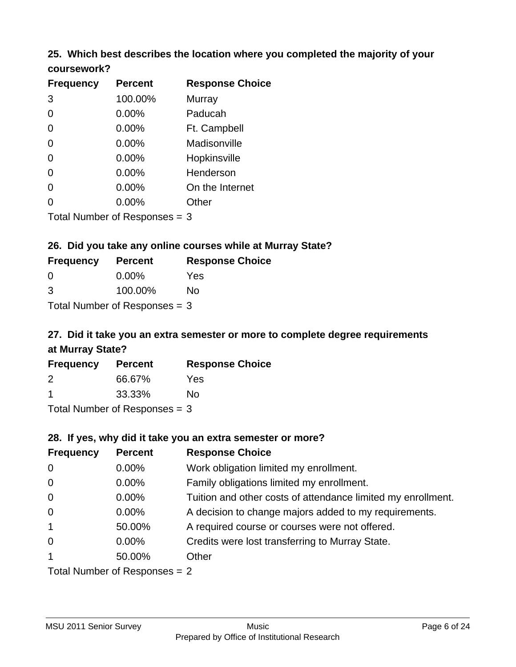### **25. Which best describes the location where you completed the majority of your coursework?**

| <b>Frequency</b> | <b>Percent</b>             | <b>Response Choice</b> |
|------------------|----------------------------|------------------------|
| 3                | 100.00%                    | Murray                 |
| 0                | 0.00%                      | Paducah                |
| $\Omega$         | 0.00%                      | Ft. Campbell           |
| $\overline{0}$   | 0.00%                      | Madisonville           |
| $\overline{0}$   | 0.00%                      | Hopkinsville           |
| 0                | 0.00%                      | Henderson              |
| $\overline{0}$   | 0.00%                      | On the Internet        |
| 0                | 0.00%                      | Other                  |
|                  | Total Number of Deepersoon |                        |

Total Number of Responses = 3

### **26. Did you take any online courses while at Murray State?**

| <b>Frequency</b>                | <b>Percent</b> | <b>Response Choice</b> |  |
|---------------------------------|----------------|------------------------|--|
| -0                              | $0.00\%$       | Yes                    |  |
| -3                              | 100.00%        | No                     |  |
| Total Number of Responses $=$ 3 |                |                        |  |

## **27. Did it take you an extra semester or more to complete degree requirements at Murray State?**

| <b>Frequency</b> | <b>Percent</b>             | <b>Response Choice</b> |
|------------------|----------------------------|------------------------|
| 2                | 66.67%                     | Yes                    |
|                  | 33.33%                     | Nο                     |
|                  | Tatal Marchan of Dannances |                        |

Total Number of Responses = 3

### **28. If yes, why did it take you an extra semester or more?**

| <b>Frequency</b>                | <b>Percent</b> | <b>Response Choice</b>                                       |  |
|---------------------------------|----------------|--------------------------------------------------------------|--|
| $\mathbf 0$                     | $0.00\%$       | Work obligation limited my enrollment.                       |  |
| $\mathbf 0$                     | 0.00%          | Family obligations limited my enrollment.                    |  |
| $\mathbf 0$                     | 0.00%          | Tuition and other costs of attendance limited my enrollment. |  |
| $\mathbf 0$                     | $0.00\%$       | A decision to change majors added to my requirements.        |  |
| $\mathbf{1}$                    | 50.00%         | A required course or courses were not offered.               |  |
| $\mathbf 0$                     | $0.00\%$       | Credits were lost transferring to Murray State.              |  |
| $\mathbf{1}$                    | 50.00%         | Other                                                        |  |
| Total Number of Responses = $2$ |                |                                                              |  |

MSU 2011 Senior Survey **Music** Music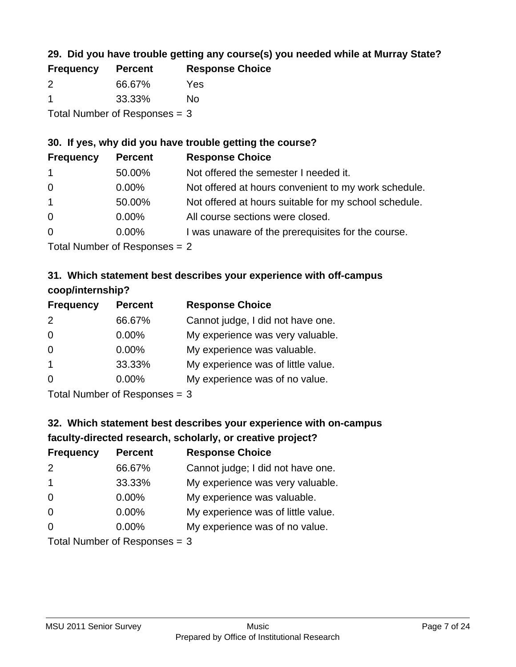## **29. Did you have trouble getting any course(s) you needed while at Murray State?**

| <b>Frequency</b>                | <b>Percent</b> | <b>Response Choice</b> |  |
|---------------------------------|----------------|------------------------|--|
| $\mathcal{P}$                   | 66.67%         | Yes                    |  |
|                                 | 33.33%         | No.                    |  |
| Total Number of Responses $=$ 3 |                |                        |  |

### **30. If yes, why did you have trouble getting the course?**

| <b>Frequency</b> | <b>Percent</b> | <b>Response Choice</b>                                |
|------------------|----------------|-------------------------------------------------------|
| $\overline{1}$   | 50.00%         | Not offered the semester I needed it.                 |
| $\overline{0}$   | $0.00\%$       | Not offered at hours convenient to my work schedule.  |
| $\mathbf{1}$     | 50.00%         | Not offered at hours suitable for my school schedule. |
| $\overline{0}$   | $0.00\%$       | All course sections were closed.                      |
| $\overline{0}$   | $0.00\%$       | I was unaware of the prerequisites for the course.    |
|                  |                |                                                       |

Total Number of Responses = 2

## **31. Which statement best describes your experience with off-campus coop/internship?**

| <b>Frequency</b> | <b>Percent</b>               | <b>Response Choice</b>             |
|------------------|------------------------------|------------------------------------|
| 2                | 66.67%                       | Cannot judge, I did not have one.  |
| $\Omega$         | $0.00\%$                     | My experience was very valuable.   |
| $\Omega$         | $0.00\%$                     | My experience was valuable.        |
| $\overline{1}$   | 33.33%                       | My experience was of little value. |
| $\Omega$         | $0.00\%$                     | My experience was of no value.     |
|                  | $T$ and Number of Decomposed |                                    |

Total Number of Responses = 3

# **32. Which statement best describes your experience with on-campus faculty-directed research, scholarly, or creative project?**

| <b>Frequency</b> | <b>Percent</b>                 | <b>Response Choice</b>             |
|------------------|--------------------------------|------------------------------------|
| 2                | 66.67%                         | Cannot judge; I did not have one.  |
| $\overline{1}$   | 33.33%                         | My experience was very valuable.   |
| $\Omega$         | $0.00\%$                       | My experience was valuable.        |
| $\Omega$         | 0.00%                          | My experience was of little value. |
| $\Omega$         | $0.00\%$                       | My experience was of no value.     |
|                  | $Total Number of Denonone = 2$ |                                    |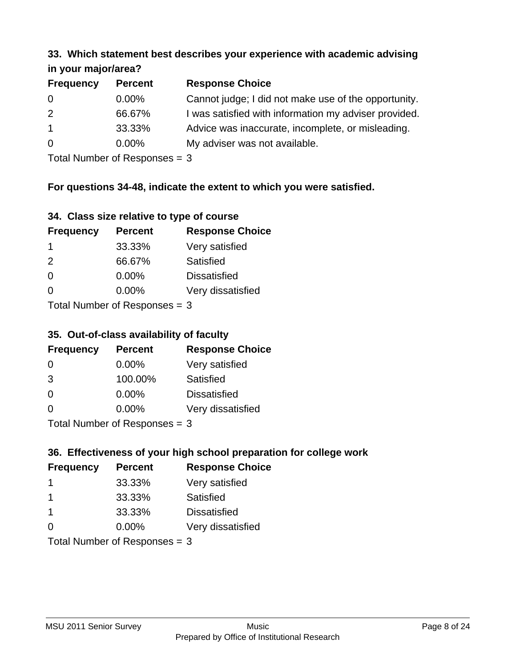#### **33. Which statement best describes your experience with academic advising in your major/area?**

| $\cdots$ your mapping out. |                |                                                       |
|----------------------------|----------------|-------------------------------------------------------|
| <b>Frequency</b>           | <b>Percent</b> | <b>Response Choice</b>                                |
| 0                          | $0.00\%$       | Cannot judge; I did not make use of the opportunity.  |
| 2                          | 66.67%         | I was satisfied with information my adviser provided. |
| $\overline{1}$             | 33.33%         | Advice was inaccurate, incomplete, or misleading.     |
| $\overline{0}$             | $0.00\%$       | My adviser was not available.                         |
|                            |                |                                                       |

Total Number of Responses = 3

### **For questions 34-48, indicate the extent to which you were satisfied.**

| 34. Class size relative to type of course |  |  |  |  |  |  |  |  |
|-------------------------------------------|--|--|--|--|--|--|--|--|
|-------------------------------------------|--|--|--|--|--|--|--|--|

| <b>Frequency</b>               | <b>Percent</b> | <b>Response Choice</b> |  |  |
|--------------------------------|----------------|------------------------|--|--|
| -1                             | 33.33%         | Very satisfied         |  |  |
| $\mathcal{P}$                  | 66.67%         | Satisfied              |  |  |
| $\Omega$                       | 0.00%          | <b>Dissatisfied</b>    |  |  |
| $\Omega$                       | $0.00\%$       | Very dissatisfied      |  |  |
| Total Number of Reconnege $-2$ |                |                        |  |  |

Total Number of Responses  $=$  3

## **35. Out-of-class availability of faculty**

| <b>Frequency</b>                | <b>Percent</b> | <b>Response Choice</b> |  |  |
|---------------------------------|----------------|------------------------|--|--|
| $\Omega$                        | $0.00\%$       | Very satisfied         |  |  |
| 3                               | 100.00%        | Satisfied              |  |  |
| $\Omega$                        | 0.00%          | <b>Dissatisfied</b>    |  |  |
| $\Omega$                        | 0.00%          | Very dissatisfied      |  |  |
| $Total$ Number of Despasses $-$ |                |                        |  |  |

Total Number of Responses = 3

## **36. Effectiveness of your high school preparation for college work**

| <b>Frequency</b>              | <b>Percent</b> | <b>Response Choice</b> |  |
|-------------------------------|----------------|------------------------|--|
|                               | 33.33%         | Very satisfied         |  |
| -1                            | 33.33%         | Satisfied              |  |
| $\mathbf 1$                   | 33.33%         | <b>Dissatisfied</b>    |  |
| $\Omega$                      | 0.00%          | Very dissatisfied      |  |
| Total Number of Responses = 3 |                |                        |  |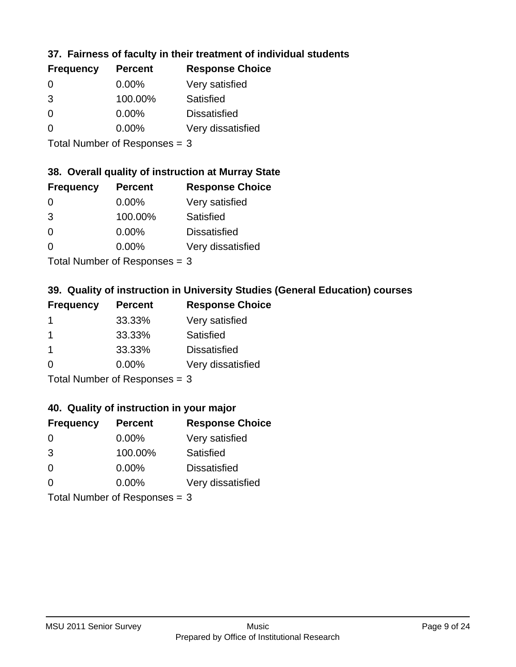## **37. Fairness of faculty in their treatment of individual students**

| <b>Frequency</b> | <b>Percent</b> | <b>Response Choice</b> |
|------------------|----------------|------------------------|
| $\Omega$         | $0.00\%$       | Very satisfied         |
| 3                | 100.00%        | Satisfied              |
| $\Omega$         | 0.00%          | <b>Dissatisfied</b>    |
| 0                | $0.00\%$       | Very dissatisfied      |
|                  |                |                        |

Total Number of Responses = 3

## **38. Overall quality of instruction at Murray State**

| <b>Frequency</b> | <b>Percent</b> | <b>Response Choice</b> |
|------------------|----------------|------------------------|
| $\Omega$         | $0.00\%$       | Very satisfied         |
| 3                | 100.00%        | Satisfied              |
| $\Omega$         | 0.00%          | <b>Dissatisfied</b>    |
| ∩                | 0.00%          | Very dissatisfied      |
|                  |                |                        |

Total Number of Responses = 3

## **39. Quality of instruction in University Studies (General Education) courses**

| <b>Frequency</b> | <b>Percent</b> | <b>Response Choice</b> |
|------------------|----------------|------------------------|
|                  | 33.33%         | Very satisfied         |
| -1               | 33.33%         | Satisfied              |
| $\mathbf 1$      | 33.33%         | <b>Dissatisfied</b>    |
| $\Omega$         | 0.00%          | Very dissatisfied      |
|                  |                |                        |

Total Number of Responses = 3

### **40. Quality of instruction in your major**

| <b>Frequency</b>                | <b>Percent</b> | <b>Response Choice</b> |
|---------------------------------|----------------|------------------------|
| $\Omega$                        | $0.00\%$       | Very satisfied         |
| 3                               | 100.00%        | Satisfied              |
| $\Omega$                        | $0.00\%$       | <b>Dissatisfied</b>    |
| $\Omega$                        | $0.00\%$       | Very dissatisfied      |
| Total Number of Responses = $3$ |                |                        |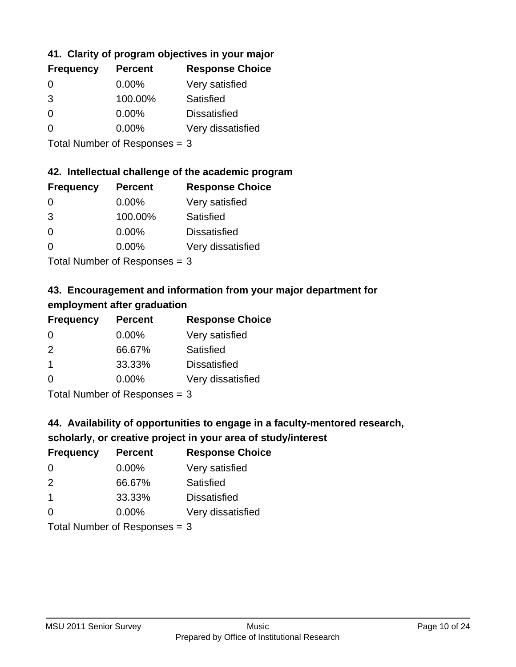## **41. Clarity of program objectives in your major**

| <b>Frequency</b> | <b>Percent</b> | <b>Response Choice</b> |
|------------------|----------------|------------------------|
| $\Omega$         | $0.00\%$       | Very satisfied         |
| 3                | 100.00%        | Satisfied              |
| ∩                | $0.00\%$       | <b>Dissatisfied</b>    |
| O                | $0.00\%$       | Very dissatisfied      |
|                  |                |                        |

Total Number of Responses = 3

### **42. Intellectual challenge of the academic program**

| <b>Frequency</b> | <b>Percent</b> | <b>Response Choice</b> |
|------------------|----------------|------------------------|
| $\Omega$         | $0.00\%$       | Very satisfied         |
| 3                | 100.00%        | Satisfied              |
| $\Omega$         | 0.00%          | <b>Dissatisfied</b>    |
| $\Omega$         | 0.00%          | Very dissatisfied      |
|                  |                |                        |

Total Number of Responses = 3

## **43. Encouragement and information from your major department for employment after graduation**

| <b>Frequency</b> | <b>Percent</b> | <b>Response Choice</b> |
|------------------|----------------|------------------------|
| 0                | $0.00\%$       | Very satisfied         |
| 2                | 66.67%         | Satisfied              |
| $\mathbf 1$      | 33.33%         | <b>Dissatisfied</b>    |
| $\Omega$         | 0.00%          | Very dissatisfied      |
|                  |                |                        |

Total Number of Responses = 3

## **44. Availability of opportunities to engage in a faculty-mentored research,**

## **scholarly, or creative project in your area of study/interest**

| <b>Frequency</b> | <b>Percent</b> | <b>Response Choice</b> |
|------------------|----------------|------------------------|
| $\Omega$         | $0.00\%$       | Very satisfied         |
| $\mathcal{P}$    | 66.67%         | Satisfied              |
| $\mathbf 1$      | 33.33%         | <b>Dissatisfied</b>    |
| $\Omega$         | $0.00\%$       | Very dissatisfied      |
|                  |                |                        |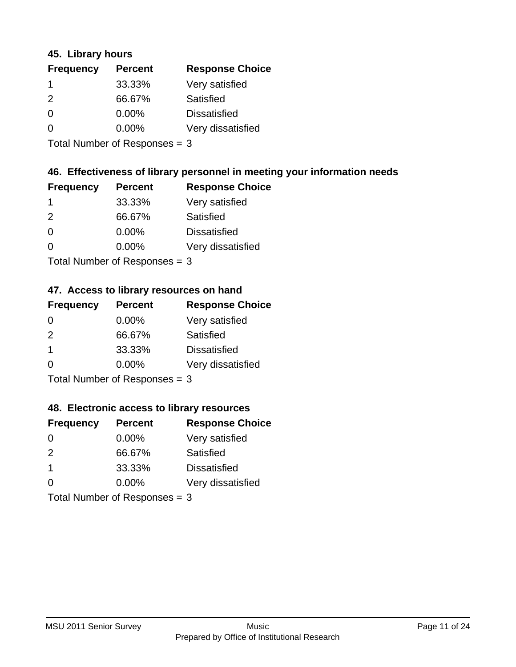### **45. Library hours**

| <b>Frequency</b> | <b>Percent</b> | <b>Response Choice</b> |
|------------------|----------------|------------------------|
| 1                | 33.33%         | Very satisfied         |
| 2                | 66.67%         | Satisfied              |
| 0                | 0.00%          | <b>Dissatisfied</b>    |
| $\Omega$         | 0.00%          | Very dissatisfied      |
|                  |                |                        |

Total Number of Responses = 3

### **46. Effectiveness of library personnel in meeting your information needs**

| <b>Frequency</b> | <b>Percent</b> | <b>Response Choice</b> |
|------------------|----------------|------------------------|
|                  | 33.33%         | Very satisfied         |
| $\mathcal{P}$    | 66.67%         | Satisfied              |
| $\Omega$         | $0.00\%$       | <b>Dissatisfied</b>    |
| O                | $0.00\%$       | Very dissatisfied      |
|                  |                |                        |

Total Number of Responses = 3

## **47. Access to library resources on hand**

| <b>Frequency</b>          | <b>Percent</b> | <b>Response Choice</b> |
|---------------------------|----------------|------------------------|
| 0                         | $0.00\%$       | Very satisfied         |
| $\mathcal{P}$             | 66.67%         | Satisfied              |
| $\mathbf 1$               | 33.33%         | <b>Dissatisfied</b>    |
| $\Omega$                  | $0.00\%$       | Very dissatisfied      |
| Total Number of Deepersee |                |                        |

Total Number of Responses = 3

### **48. Electronic access to library resources**

| <b>Frequency</b>               | <b>Percent</b> | <b>Response Choice</b> |
|--------------------------------|----------------|------------------------|
| 0                              | $0.00\%$       | Very satisfied         |
| $\mathcal{P}$                  | 66.67%         | Satisfied              |
| $\mathbf 1$                    | 33.33%         | <b>Dissatisfied</b>    |
| $\Omega$                       | $0.00\%$       | Very dissatisfied      |
| Total Number of Decreases $-2$ |                |                        |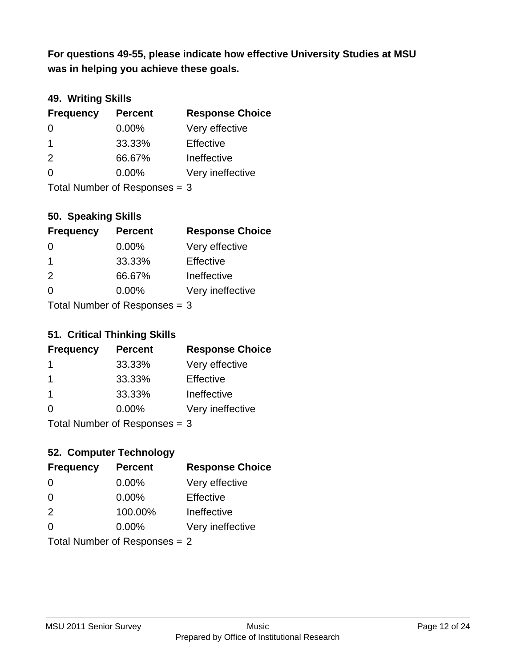**was in helping you achieve these goals. For questions 49-55, please indicate how effective University Studies at MSU** 

## **49. Writing Skills**

| <b>Frequency</b>              | <b>Percent</b> | <b>Response Choice</b> |
|-------------------------------|----------------|------------------------|
| $\Omega$                      | $0.00\%$       | Very effective         |
| $\mathbf 1$                   | 33.33%         | Effective              |
| 2                             | 66.67%         | Ineffective            |
| $\Omega$                      | $0.00\%$       | Very ineffective       |
| Total Number of Responses = 3 |                |                        |

**50. Speaking Skills**

| <b>Frequency</b>           | <b>Percent</b> | <b>Response Choice</b> |
|----------------------------|----------------|------------------------|
| $\Omega$                   | 0.00%          | Very effective         |
| -1                         | 33.33%         | Effective              |
| $\mathcal{P}$              | 66.67%         | Ineffective            |
| $\Omega$                   | 0.00%          | Very ineffective       |
| Total Number of Denonone – |                |                        |

Total Number of Responses = 3

### **51. Critical Thinking Skills**

| <b>Frequency</b> | <b>Percent</b>            | <b>Response Choice</b> |
|------------------|---------------------------|------------------------|
| 1                | 33.33%                    | Very effective         |
| -1               | 33.33%                    | Effective              |
| $\overline{1}$   | 33.33%                    | Ineffective            |
| $\Omega$         | 0.00%                     | Very ineffective       |
|                  | Total Number of Deepensee |                        |

Total Number of Responses = 3

## **52. Computer Technology**

| <b>Frequency</b>              | <b>Percent</b> | <b>Response Choice</b> |
|-------------------------------|----------------|------------------------|
| 0                             | $0.00\%$       | Very effective         |
| $\Omega$                      | 0.00%          | Effective              |
| 2                             | 100.00%        | Ineffective            |
| $\Omega$                      | $0.00\%$       | Very ineffective       |
| Total Number of Responses = 2 |                |                        |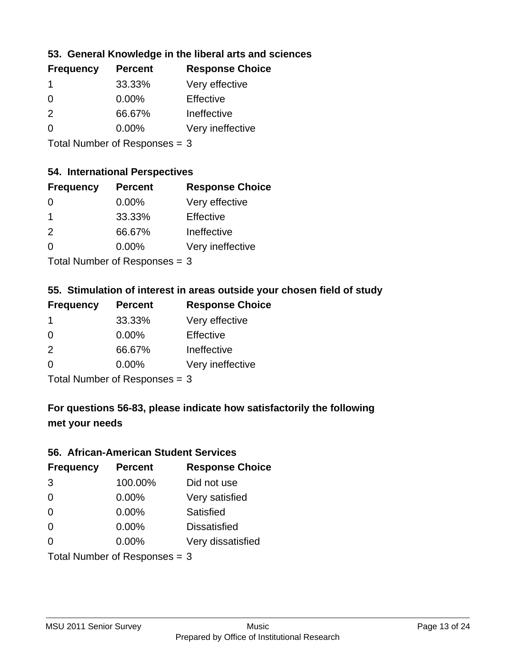### **53. General Knowledge in the liberal arts and sciences**

| <b>Frequency</b> | <b>Percent</b> | <b>Response Choice</b> |
|------------------|----------------|------------------------|
|                  | 33.33%         | Very effective         |
| 0                | $0.00\%$       | Effective              |
| $\mathcal{P}$    | 66.67%         | Ineffective            |
| O                | $0.00\%$       | Very ineffective       |
|                  |                |                        |

Total Number of Responses = 3

#### **54. International Perspectives**

| <b>Frequency</b> | <b>Percent</b> | <b>Response Choice</b> |
|------------------|----------------|------------------------|
| -0               | $0.00\%$       | Very effective         |
| 1                | 33.33%         | Effective              |
| $\mathcal{P}$    | 66.67%         | Ineffective            |
| ∩                | 0.00%          | Very ineffective       |
|                  |                |                        |

Total Number of Responses  $= 3$ 

## **55. Stimulation of interest in areas outside your chosen field of study**

| <b>Frequency</b> | <b>Percent</b>            | <b>Response Choice</b> |
|------------------|---------------------------|------------------------|
| -1               | 33.33%                    | Very effective         |
| $\Omega$         | 0.00%                     | Effective              |
| $\mathcal{P}$    | 66.67%                    | Ineffective            |
| ∩                | 0.00%                     | Very ineffective       |
|                  | Total Number of Desponses |                        |

Total Number of Responses = 3

## **For questions 56-83, please indicate how satisfactorily the following met your needs**

#### **56. African-American Student Services**

| <b>Frequency</b> | <b>Percent</b>                | <b>Response Choice</b> |
|------------------|-------------------------------|------------------------|
| 3                | 100.00%                       | Did not use            |
| $\Omega$         | 0.00%                         | Very satisfied         |
| $\Omega$         | 0.00%                         | Satisfied              |
| $\Omega$         | 0.00%                         | <b>Dissatisfied</b>    |
| $\Omega$         | 0.00%                         | Very dissatisfied      |
|                  | Total Number of Responses = 3 |                        |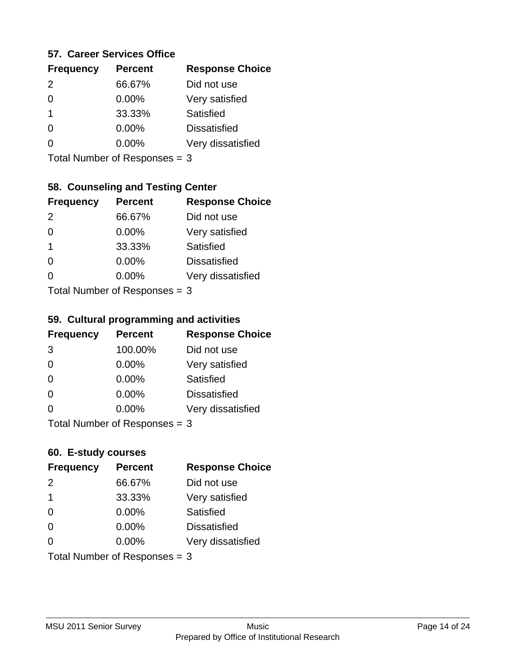### **57. Career Services Office**

| <b>Frequency</b> | <b>Percent</b> | <b>Response Choice</b> |
|------------------|----------------|------------------------|
| $\mathcal{P}$    | 66.67%         | Did not use            |
|                  | 0.00%          | Very satisfied         |
| 1                | 33.33%         | Satisfied              |
|                  | $0.00\%$       | <b>Dissatisfied</b>    |
|                  | $0.00\%$       | Very dissatisfied      |
|                  |                |                        |

Total Number of Responses = 3

## **58. Counseling and Testing Center**

| <b>Frequency</b> | <b>Percent</b>            | <b>Response Choice</b> |
|------------------|---------------------------|------------------------|
| 2                | 66.67%                    | Did not use            |
| $\Omega$         | 0.00%                     | Very satisfied         |
| $\overline{1}$   | 33.33%                    | <b>Satisfied</b>       |
| $\Omega$         | 0.00%                     | <b>Dissatisfied</b>    |
| $\Omega$         | 0.00%                     | Very dissatisfied      |
|                  | Total Number of DoEROR 0. |                        |

Total Number of Responses = 3

#### **59. Cultural programming and activities**

| <b>Frequency</b> | <b>Percent</b>                  | <b>Response Choice</b> |
|------------------|---------------------------------|------------------------|
| 3                | 100.00%                         | Did not use            |
| $\Omega$         | $0.00\%$                        | Very satisfied         |
| $\Omega$         | 0.00%                           | Satisfied              |
| $\Omega$         | $0.00\%$                        | <b>Dissatisfied</b>    |
| $\Omega$         | $0.00\%$                        | Very dissatisfied      |
|                  | Total Number of Responses $=$ 3 |                        |

### **60. E-study courses**

| <b>Frequency</b> | <b>Percent</b>                  | <b>Response Choice</b> |
|------------------|---------------------------------|------------------------|
| 2                | 66.67%                          | Did not use            |
| $\mathbf 1$      | 33.33%                          | Very satisfied         |
| $\Omega$         | 0.00%                           | Satisfied              |
| $\Omega$         | $0.00\%$                        | <b>Dissatisfied</b>    |
| $\Omega$         | 0.00%                           | Very dissatisfied      |
|                  | Total Number of Responses = $3$ |                        |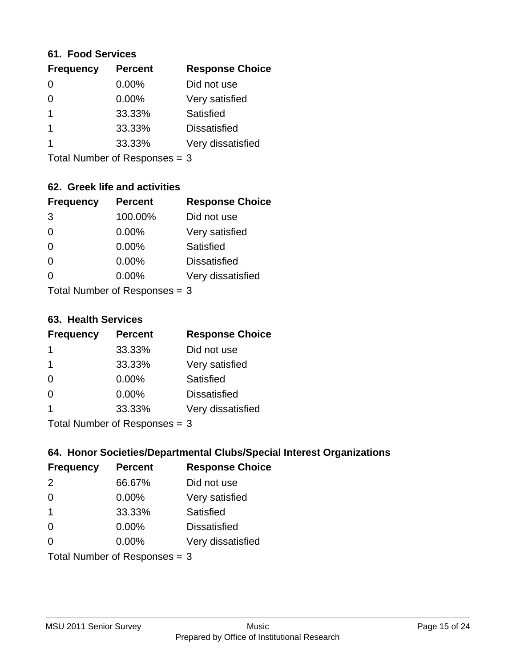#### **61. Food Services**

| <b>Frequency</b> | <b>Percent</b> | <b>Response Choice</b> |
|------------------|----------------|------------------------|
| 0                | 0.00%          | Did not use            |
| 0                | 0.00%          | Very satisfied         |
|                  | 33.33%         | Satisfied              |
|                  | 33.33%         | <b>Dissatisfied</b>    |
|                  | 33.33%         | Very dissatisfied      |
|                  |                |                        |

Total Number of Responses = 3

### **62. Greek life and activities**

| <b>Frequency</b> | <b>Percent</b>                  | <b>Response Choice</b> |
|------------------|---------------------------------|------------------------|
| 3                | 100.00%                         | Did not use            |
| 0                | 0.00%                           | Very satisfied         |
| $\Omega$         | 0.00%                           | <b>Satisfied</b>       |
| $\Omega$         | 0.00%                           | <b>Dissatisfied</b>    |
| 0                | $0.00\%$                        | Very dissatisfied      |
|                  | Total Number of Responses $=$ 3 |                        |

**63. Health Services**

| <b>Frequency</b> | <b>Percent</b>            | <b>Response Choice</b> |
|------------------|---------------------------|------------------------|
|                  | 33.33%                    | Did not use            |
| -1               | 33.33%                    | Very satisfied         |
| $\Omega$         | $0.00\%$                  | Satisfied              |
| $\Omega$         | $0.00\%$                  | <b>Dissatisfied</b>    |
|                  | 33.33%                    | Very dissatisfied      |
|                  | Total Number of Deepersee |                        |

Total Number of Responses = 3

### **64. Honor Societies/Departmental Clubs/Special Interest Organizations**

| <b>Frequency</b> | <b>Percent</b>                | <b>Response Choice</b> |
|------------------|-------------------------------|------------------------|
| 2                | 66.67%                        | Did not use            |
| $\Omega$         | 0.00%                         | Very satisfied         |
| $\mathbf 1$      | 33.33%                        | Satisfied              |
| $\Omega$         | $0.00\%$                      | <b>Dissatisfied</b>    |
| $\Omega$         | $0.00\%$                      | Very dissatisfied      |
|                  | Total Number of Responses = 3 |                        |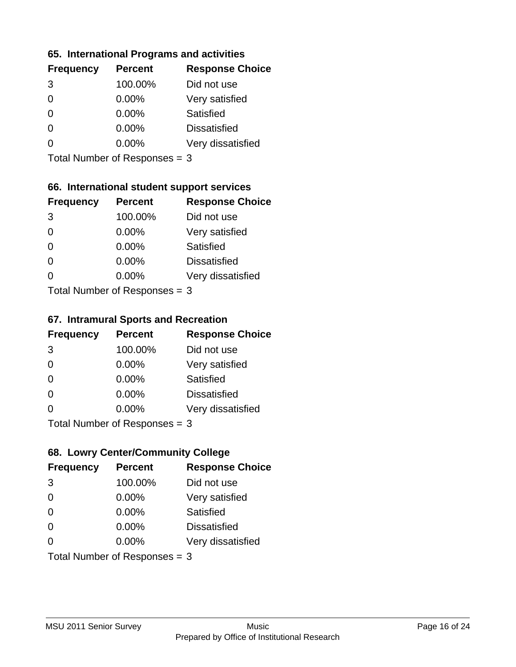### **65. International Programs and activities**

| <b>Frequency</b> | <b>Percent</b> | <b>Response Choice</b> |
|------------------|----------------|------------------------|
| 3                | 100.00%        | Did not use            |
| 0                | 0.00%          | Very satisfied         |
| 0                | $0.00\%$       | Satisfied              |
|                  | $0.00\%$       | <b>Dissatisfied</b>    |
|                  | $0.00\%$       | Very dissatisfied      |
|                  |                |                        |

Total Number of Responses = 3

### **66. International student support services**

| <b>Frequency</b>          | <b>Percent</b> | <b>Response Choice</b> |
|---------------------------|----------------|------------------------|
| 3                         | 100.00%        | Did not use            |
| $\overline{0}$            | 0.00%          | Very satisfied         |
| $\Omega$                  | 0.00%          | <b>Satisfied</b>       |
| $\Omega$                  | 0.00%          | <b>Dissatisfied</b>    |
| ∩                         | 0.00%          | Very dissatisfied      |
| Total Number of Desponses |                |                        |

Total Number of Responses = 3

#### **67. Intramural Sports and Recreation**

| <b>Frequency</b> | <b>Percent</b>                 | <b>Response Choice</b> |
|------------------|--------------------------------|------------------------|
| 3                | 100.00%                        | Did not use            |
| $\Omega$         | $0.00\%$                       | Very satisfied         |
| $\Omega$         | $0.00\%$                       | Satisfied              |
| $\Omega$         | $0.00\%$                       | <b>Dissatisfied</b>    |
| $\Omega$         | 0.00%                          | Very dissatisfied      |
|                  | Total Number of Poenonces $-2$ |                        |

Total Number of Responses = 3

## **68. Lowry Center/Community College**

| <b>Frequency</b> | <b>Percent</b>                | <b>Response Choice</b> |
|------------------|-------------------------------|------------------------|
| 3                | 100.00%                       | Did not use            |
| $\Omega$         | 0.00%                         | Very satisfied         |
| $\Omega$         | 0.00%                         | Satisfied              |
| $\Omega$         | 0.00%                         | <b>Dissatisfied</b>    |
| $\Omega$         | $0.00\%$                      | Very dissatisfied      |
|                  | Total Number of Responses = 3 |                        |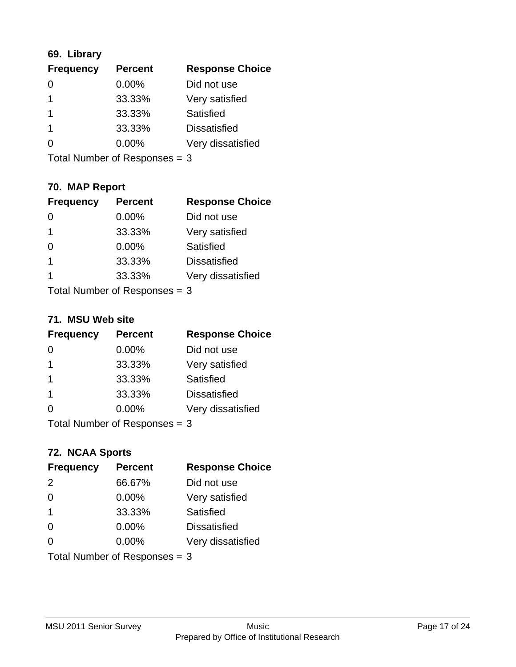## **69. Library**

| <b>Frequency</b> | <b>Percent</b> | <b>Response Choice</b> |
|------------------|----------------|------------------------|
| 0                | 0.00%          | Did not use            |
|                  | 33.33%         | Very satisfied         |
|                  | 33.33%         | Satisfied              |
|                  | 33.33%         | <b>Dissatisfied</b>    |
| O                | $0.00\%$       | Very dissatisfied      |
|                  |                |                        |

Total Number of Responses = 3

## **70. MAP Report**

| <b>Frequency</b> | <b>Percent</b>                  | <b>Response Choice</b> |
|------------------|---------------------------------|------------------------|
|                  | 0.00%                           | Did not use            |
| -1               | 33.33%                          | Very satisfied         |
| $\Omega$         | $0.00\%$                        | <b>Satisfied</b>       |
| $\overline{1}$   | 33.33%                          | <b>Dissatisfied</b>    |
| 1                | 33.33%                          | Very dissatisfied      |
|                  | Total Number of Responses $=$ 3 |                        |

#### **71. MSU Web site**

| <b>Frequency</b> | <b>Percent</b>                | <b>Response Choice</b> |
|------------------|-------------------------------|------------------------|
| $\Omega$         | $0.00\%$                      | Did not use            |
| -1               | 33.33%                        | Very satisfied         |
| -1               | 33.33%                        | <b>Satisfied</b>       |
| -1               | 33.33%                        | <b>Dissatisfied</b>    |
| ∩                | $0.00\%$                      | Very dissatisfied      |
|                  | Total Number of Responses = 3 |                        |

### **72. NCAA Sports**

| <b>Frequency</b>              | <b>Percent</b> | <b>Response Choice</b> |
|-------------------------------|----------------|------------------------|
| 2                             | 66.67%         | Did not use            |
| $\Omega$                      | 0.00%          | Very satisfied         |
| -1                            | 33.33%         | Satisfied              |
| $\Omega$                      | $0.00\%$       | <b>Dissatisfied</b>    |
| ∩                             | $0.00\%$       | Very dissatisfied      |
| Total Number of Responses = 3 |                |                        |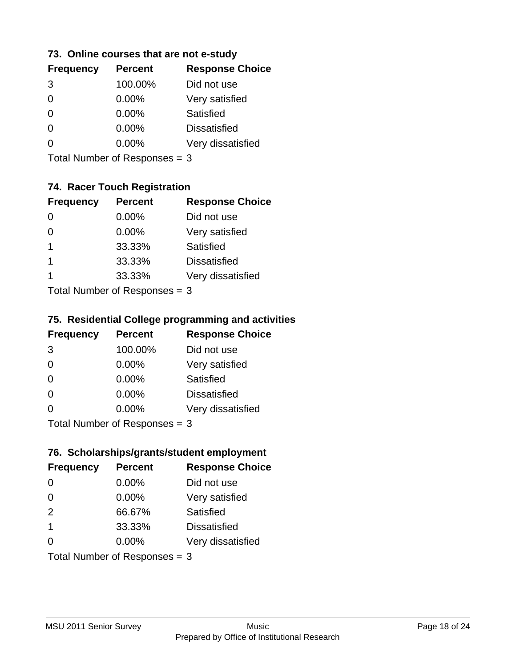### **73. Online courses that are not e-study**

| <b>Frequency</b> | <b>Percent</b> | <b>Response Choice</b> |
|------------------|----------------|------------------------|
| 3                | 100.00%        | Did not use            |
| 0                | $0.00\%$       | Very satisfied         |
| 0                | $0.00\%$       | Satisfied              |
|                  | $0.00\%$       | <b>Dissatisfied</b>    |
|                  | $0.00\%$       | Very dissatisfied      |
|                  |                |                        |

Total Number of Responses = 3

## **74. Racer Touch Registration**

| <b>Frequency</b>          | <b>Percent</b> | <b>Response Choice</b> |
|---------------------------|----------------|------------------------|
| 0                         | 0.00%          | Did not use            |
| 0                         | 0.00%          | Very satisfied         |
| 1                         | 33.33%         | <b>Satisfied</b>       |
| 1                         | 33.33%         | <b>Dissatisfied</b>    |
| 1                         | 33.33%         | Very dissatisfied      |
| Total Number of Desponses |                |                        |

Total Number of Responses = 3

### **75. Residential College programming and activities**

| <b>Frequency</b> | <b>Percent</b>                | <b>Response Choice</b> |
|------------------|-------------------------------|------------------------|
| 3                | 100.00%                       | Did not use            |
| $\Omega$         | 0.00%                         | Very satisfied         |
| $\Omega$         | 0.00%                         | Satisfied              |
| $\Omega$         | 0.00%                         | <b>Dissatisfied</b>    |
| $\Omega$         | 0.00%                         | Very dissatisfied      |
|                  | $Total Number of Denonce - 2$ |                        |

Total Number of Responses = 3

## **76. Scholarships/grants/student employment**

| <b>Frequency</b>              | <b>Percent</b> | <b>Response Choice</b> |
|-------------------------------|----------------|------------------------|
| $\Omega$                      | 0.00%          | Did not use            |
| $\Omega$                      | 0.00%          | Very satisfied         |
| 2                             | 66.67%         | Satisfied              |
| $\overline{1}$                | 33.33%         | <b>Dissatisfied</b>    |
| 0                             | $0.00\%$       | Very dissatisfied      |
| Total Number of Responses = 3 |                |                        |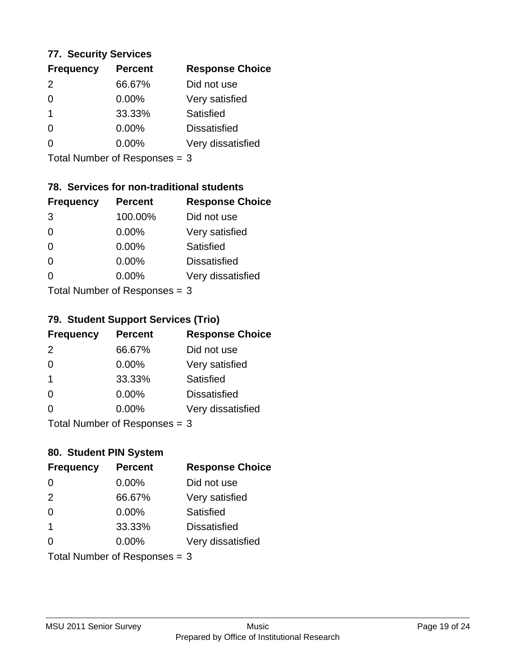### **77. Security Services**

| <b>Frequency</b> | <b>Percent</b> | <b>Response Choice</b> |
|------------------|----------------|------------------------|
| $\mathcal{P}$    | 66.67%         | Did not use            |
| 0                | 0.00%          | Very satisfied         |
| 1                | 33.33%         | Satisfied              |
| 0                | $0.00\%$       | <b>Dissatisfied</b>    |
|                  | $0.00\%$       | Very dissatisfied      |
|                  |                |                        |

Total Number of Responses = 3

## **78. Services for non-traditional students**

| <b>Frequency</b> | <b>Percent</b>            | <b>Response Choice</b> |
|------------------|---------------------------|------------------------|
| 3                | 100.00%                   | Did not use            |
| $\Omega$         | 0.00%                     | Very satisfied         |
| $\Omega$         | 0.00%                     | <b>Satisfied</b>       |
| $\Omega$         | 0.00%                     | <b>Dissatisfied</b>    |
| $\Omega$         | 0.00%                     | Very dissatisfied      |
|                  | Total Number of DoEROR 0. |                        |

Total Number of Responses = 3

## **79. Student Support Services (Trio)**

| <b>Frequency</b>            | <b>Percent</b> | <b>Response Choice</b> |
|-----------------------------|----------------|------------------------|
| 2                           | 66.67%         | Did not use            |
| $\Omega$                    | $0.00\%$       | Very satisfied         |
| $\mathbf 1$                 | 33.33%         | Satisfied              |
| $\Omega$                    | 0.00%          | <b>Dissatisfied</b>    |
| $\Omega$                    | 0.00%          | Very dissatisfied      |
| Total Number of Desponses 2 |                |                        |

Total Number of Responses = 3

## **80. Student PIN System**

| <b>Frequency</b>              | <b>Percent</b> | <b>Response Choice</b> |
|-------------------------------|----------------|------------------------|
| $\Omega$                      | 0.00%          | Did not use            |
| 2                             | 66.67%         | Very satisfied         |
| $\Omega$                      | 0.00%          | Satisfied              |
| $\mathbf{1}$                  | 33.33%         | <b>Dissatisfied</b>    |
| 0                             | $0.00\%$       | Very dissatisfied      |
| Total Number of Responses = 3 |                |                        |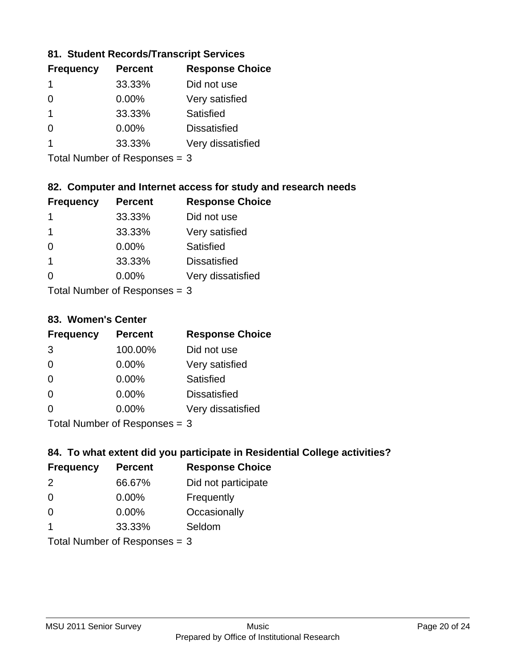### **81. Student Records/Transcript Services**

| <b>Frequency</b> | <b>Percent</b> | <b>Response Choice</b> |
|------------------|----------------|------------------------|
|                  | 33.33%         | Did not use            |
| ∩                | 0.00%          | Very satisfied         |
|                  | 33.33%         | Satisfied              |
| ∩                | $0.00\%$       | <b>Dissatisfied</b>    |
|                  | 33.33%         | Very dissatisfied      |

Total Number of Responses = 3

### **82. Computer and Internet access for study and research needs**

| <b>Frequency</b> | <b>Percent</b>             | <b>Response Choice</b> |
|------------------|----------------------------|------------------------|
| 1                | 33.33%                     | Did not use            |
| 1                | 33.33%                     | Very satisfied         |
| 0                | 0.00%                      | Satisfied              |
| $\overline{1}$   | 33.33%                     | <b>Dissatisfied</b>    |
| ∩                | 0.00%                      | Very dissatisfied      |
|                  | Tatal Number of Desperance |                        |

Total Number of Responses = 3

#### **83. Women's Center**

| <b>Frequency</b> | <b>Percent</b>             | <b>Response Choice</b> |
|------------------|----------------------------|------------------------|
| 3                | 100.00%                    | Did not use            |
| $\Omega$         | $0.00\%$                   | Very satisfied         |
| $\Omega$         | $0.00\%$                   | Satisfied              |
| $\Omega$         | $0.00\%$                   | <b>Dissatisfied</b>    |
| ∩                | 0.00%                      | Very dissatisfied      |
|                  | Total Number of Deepersoon |                        |

Total Number of Responses = 3

### **84. To what extent did you participate in Residential College activities?**

| <b>Frequency</b> | <b>Percent</b>                 | <b>Response Choice</b> |
|------------------|--------------------------------|------------------------|
| 2                | 66.67%                         | Did not participate    |
| $\Omega$         | 0.00%                          | Frequently             |
| $\Omega$         | 0.00%                          | Occasionally           |
| 1                | 33.33%                         | Seldom                 |
|                  | $Total Number of Dononone = 2$ |                        |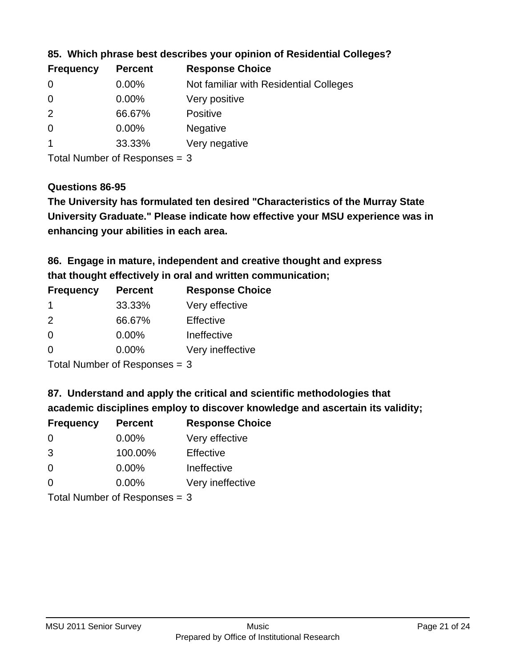| <b>Frequency</b> | <b>Percent</b> | <b>Response Choice</b>                 |
|------------------|----------------|----------------------------------------|
| 0                | $0.00\%$       | Not familiar with Residential Colleges |
| $\overline{0}$   | $0.00\%$       | Very positive                          |
| -2               | 66.67%         | <b>Positive</b>                        |
| $\overline{0}$   | $0.00\%$       | <b>Negative</b>                        |
|                  | 33.33%         | Very negative                          |
|                  |                |                                        |

**85. Which phrase best describes your opinion of Residential Colleges?**

Total Number of Responses = 3

### **Questions 86-95**

**University Graduate." Please indicate how effective your MSU experience was in The University has formulated ten desired "Characteristics of the Murray State enhancing your abilities in each area.**

**86. Engage in mature, independent and creative thought and express that thought effectively in oral and written communication;**

| <b>Percent</b> | <b>Response Choice</b> |
|----------------|------------------------|
| 33.33%         | Very effective         |
| 66.67%         | Effective              |
| $0.00\%$       | Ineffective            |
| $0.00\%$       | Very ineffective       |
|                |                        |

Total Number of Responses = 3

**87. Understand and apply the critical and scientific methodologies that** 

**academic disciplines employ to discover knowledge and ascertain its validity;**

| <b>Frequency</b> | <b>Percent</b>            | <b>Response Choice</b> |
|------------------|---------------------------|------------------------|
| $\Omega$         | 0.00%                     | Very effective         |
| 3                | 100.00%                   | Effective              |
| $\Omega$         | 0.00%                     | Ineffective            |
| $\Omega$         | 0.00%                     | Very ineffective       |
|                  | Total Number of Deepersee |                        |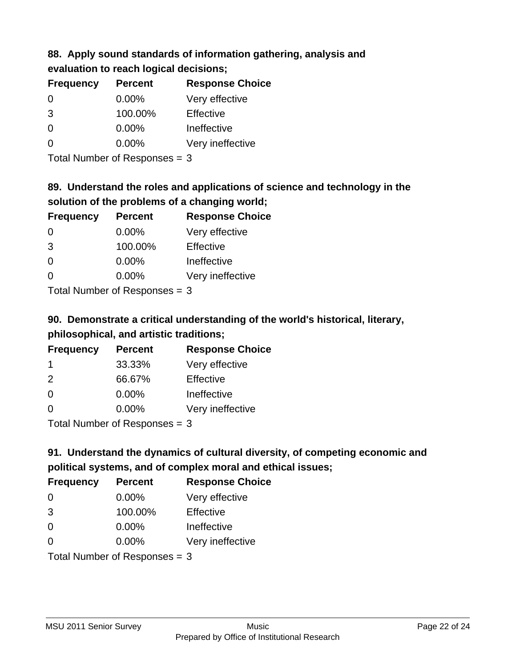### **88. Apply sound standards of information gathering, analysis and evaluation to reach logical decisions;**

| <b>Frequency</b> | <b>Percent</b> | <b>Response Choice</b> |
|------------------|----------------|------------------------|
| $\Omega$         | $0.00\%$       | Very effective         |
| 3                | 100.00%        | Effective              |
| $\Omega$         | 0.00%          | Ineffective            |
| $\Omega$         | 0.00%          | Very ineffective       |

Total Number of Responses = 3

## **89. Understand the roles and applications of science and technology in the solution of the problems of a changing world;**

| <b>Frequency</b> | <b>Percent</b>                                                | <b>Response Choice</b> |
|------------------|---------------------------------------------------------------|------------------------|
| $\Omega$         | $0.00\%$                                                      | Very effective         |
| 3                | 100.00%                                                       | Effective              |
| $\Omega$         | 0.00%                                                         | Ineffective            |
| $\Omega$         | 0.00%                                                         | Very ineffective       |
|                  | $\tau$ and $\tau$ and $\tau$ and $\tau$ and $\tau$ and $\tau$ |                        |

Total Number of Responses = 3

# **90. Demonstrate a critical understanding of the world's historical, literary, philosophical, and artistic traditions;**

| <b>Frequency</b> | <b>Percent</b> | <b>Response Choice</b> |
|------------------|----------------|------------------------|
| -1               | 33.33%         | Very effective         |
| $\mathcal{P}$    | 66.67%         | Effective              |
| $\Omega$         | 0.00%          | Ineffective            |
| $\Omega$         | 0.00%          | Very ineffective       |
|                  |                |                        |

Total Number of Responses = 3

# **91. Understand the dynamics of cultural diversity, of competing economic and political systems, and of complex moral and ethical issues;**

| <b>Frequency</b> | <b>Percent</b>                  | <b>Response Choice</b> |
|------------------|---------------------------------|------------------------|
| $\Omega$         | $0.00\%$                        | Very effective         |
| 3                | 100.00%                         | Effective              |
| 0                | $0.00\%$                        | Ineffective            |
| $\Omega$         | $0.00\%$                        | Very ineffective       |
|                  | Total Number of Responses = $3$ |                        |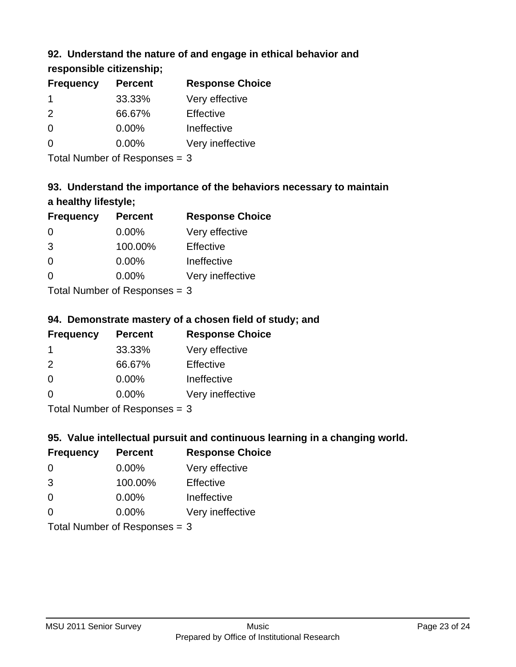## **92. Understand the nature of and engage in ethical behavior and**

**responsible citizenship;**

| <b>Response Choice</b> |
|------------------------|
| Very effective         |
|                        |
|                        |
| Very ineffective       |
|                        |

Total Number of Responses = 3

# **93. Understand the importance of the behaviors necessary to maintain a healthy lifestyle;**

| <b>Frequency</b> | <b>Percent</b>             | <b>Response Choice</b> |
|------------------|----------------------------|------------------------|
| $\Omega$         | $0.00\%$                   | Very effective         |
| 3                | 100.00%                    | Effective              |
| $\Omega$         | $0.00\%$                   | Ineffective            |
| $\Omega$         | 0.00%                      | Very ineffective       |
|                  | Tatal Number of Desperance |                        |

Total Number of Responses = 3

## **94. Demonstrate mastery of a chosen field of study; and**

| <b>Frequency</b> | <b>Percent</b> | <b>Response Choice</b> |
|------------------|----------------|------------------------|
|                  | 33.33%         | Very effective         |
| $\mathcal{P}$    | 66.67%         | Effective              |
| $\Omega$         | $0.00\%$       | Ineffective            |
| ∩                | $0.00\%$       | Very ineffective       |
|                  |                |                        |

Total Number of Responses = 3

## **95. Value intellectual pursuit and continuous learning in a changing world.**

| <b>Frequency</b> | <b>Percent</b>             | <b>Response Choice</b> |
|------------------|----------------------------|------------------------|
| $\Omega$         | 0.00%                      | Very effective         |
| 3                | 100.00%                    | Effective              |
| $\Omega$         | $0.00\%$                   | Ineffective            |
| $\Omega$         | 0.00%                      | Very ineffective       |
|                  | Tatal Number of Desperance |                        |